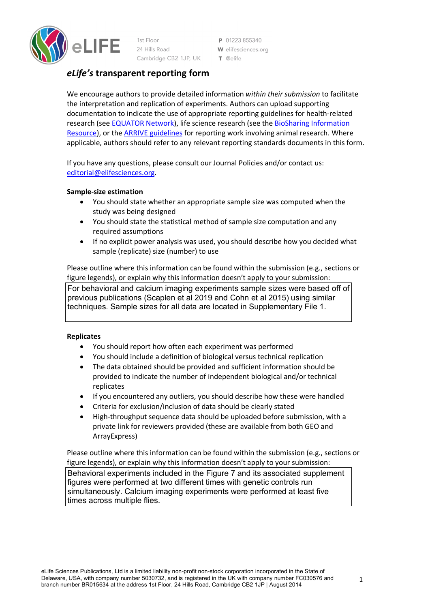

1st Floor 24 Hills Road Cambridge CB2 1JP, UK

P 01223 855340 W elifesciences.org T @elife

# *eLife's* **transparent reporting form**

We encourage authors to provide detailed information *within their submission* to facilitate the interpretation and replication of experiments. Authors can upload supporting documentation to indicate the use of appropriate reporting guidelines for health-related research (see EQUATOR Network), life science research (see the BioSharing Information Resource), or the ARRIVE guidelines for reporting work involving animal research. Where applicable, authors should refer to any relevant reporting standards documents in this form.

If you have any questions, please consult our Journal Policies and/or contact us: editorial@elifesciences.org.

## **Sample-size estimation**

- You should state whether an appropriate sample size was computed when the study was being designed
- You should state the statistical method of sample size computation and any required assumptions
- If no explicit power analysis was used, you should describe how you decided what sample (replicate) size (number) to use

Please outline where this information can be found within the submission (e.g., sections or figure legends), or explain why this information doesn't apply to your submission:

For behavioral and calcium imaging experiments sample sizes were based off of previous publications (Scaplen et al 2019 and Cohn et al 2015) using similar techniques. Sample sizes for all data are located in Supplementary File 1.

#### **Replicates**

- You should report how often each experiment was performed
- You should include a definition of biological versus technical replication
- The data obtained should be provided and sufficient information should be provided to indicate the number of independent biological and/or technical replicates
- If you encountered any outliers, you should describe how these were handled
- Criteria for exclusion/inclusion of data should be clearly stated
- High-throughput sequence data should be uploaded before submission, with a private link for reviewers provided (these are available from both GEO and ArrayExpress)

Please outline where this information can be found within the submission (e.g., sections or figure legends), or explain why this information doesn't apply to your submission: Behavioral experiments included in the Figure 7 and its associated supplement figures were performed at two different times with genetic controls run simultaneously. Calcium imaging experiments were performed at least five times across multiple flies.